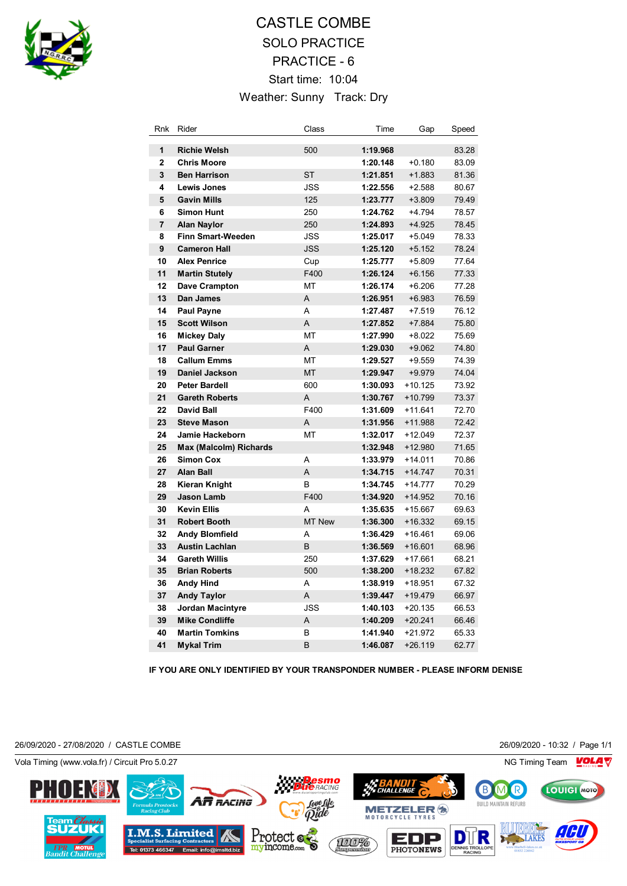

## CASTLE COMBE SOLO PRACTICE PRACTICE - 6 Start time: 10:04 Weather: Sunny Track: Dry

| Rnk            | Rider                         | Class        | Time     | Gap       | Speed |
|----------------|-------------------------------|--------------|----------|-----------|-------|
| 1              | <b>Richie Welsh</b>           | 500          | 1:19.968 |           | 83.28 |
| $\overline{2}$ | <b>Chris Moore</b>            |              | 1:20.148 | $+0.180$  | 83.09 |
| 3              | <b>Ben Harrison</b>           | <b>ST</b>    | 1:21.851 | $+1.883$  | 81.36 |
| 4              | <b>Lewis Jones</b>            | <b>JSS</b>   | 1:22.556 | $+2.588$  | 80.67 |
| 5              | <b>Gavin Mills</b>            | 125          | 1:23.777 | $+3.809$  | 79.49 |
| 6              | <b>Simon Hunt</b>             | 250          | 1:24.762 | $+4.794$  | 78.57 |
| $\overline{7}$ | <b>Alan Naylor</b>            | 250          | 1:24.893 | $+4.925$  | 78.45 |
| 8              | <b>Finn Smart-Weeden</b>      | <b>JSS</b>   | 1:25.017 | $+5.049$  | 78.33 |
| 9              | <b>Cameron Hall</b>           | <b>JSS</b>   | 1:25.120 | $+5.152$  | 78.24 |
| 10             | <b>Alex Penrice</b>           | Cup          | 1:25.777 | $+5.809$  | 77.64 |
| 11             | <b>Martin Stutely</b>         | F400         | 1:26.124 | $+6.156$  | 77.33 |
| 12             | Dave Crampton                 | MT           | 1:26.174 | $+6.206$  | 77.28 |
| 13             | Dan James                     | A            | 1:26.951 | $+6.983$  | 76.59 |
| 14             | <b>Paul Payne</b>             | A            | 1:27.487 | $+7.519$  | 76.12 |
| 15             | <b>Scott Wilson</b>           | A            | 1:27.852 | $+7.884$  | 75.80 |
| 16             | <b>Mickey Daly</b>            | <b>MT</b>    | 1:27.990 | $+8.022$  | 75.69 |
| 17             | <b>Paul Garner</b>            | A            | 1:29.030 | $+9.062$  | 74.80 |
| 18             | <b>Callum Emms</b>            | MT           | 1:29.527 | $+9.559$  | 74.39 |
| 19             | <b>Daniel Jackson</b>         | <b>MT</b>    | 1:29.947 | $+9.979$  | 74.04 |
| 20             | <b>Peter Bardell</b>          | 600          | 1:30.093 | $+10.125$ | 73.92 |
| 21             | <b>Gareth Roberts</b>         | A            | 1:30.767 | $+10.799$ | 73.37 |
| 22             | <b>David Ball</b>             | F400         | 1:31.609 | $+11.641$ | 72.70 |
| 23             | <b>Steve Mason</b>            | A            | 1:31.956 | $+11.988$ | 72.42 |
| 24             | <b>Jamie Hackeborn</b>        | <b>MT</b>    | 1:32.017 | +12.049   | 72.37 |
| 25             | <b>Max (Malcolm) Richards</b> |              | 1:32.948 | $+12.980$ | 71.65 |
| 26             | <b>Simon Cox</b>              | A            | 1:33.979 | $+14.011$ | 70.86 |
| 27             | <b>Alan Ball</b>              | A            | 1:34.715 | $+14.747$ | 70.31 |
| 28             | Kieran Knight                 | <sub>B</sub> | 1:34.745 | $+14.777$ | 70.29 |
| 29             | <b>Jason Lamb</b>             | F400         | 1:34.920 | $+14.952$ | 70.16 |
| 30             | <b>Kevin Ellis</b>            | A            | 1:35.635 | $+15.667$ | 69.63 |
| 31             | <b>Robert Booth</b>           | MT New       | 1:36.300 | $+16.332$ | 69.15 |
| 32             | <b>Andy Blomfield</b>         | A            | 1:36.429 | $+16.461$ | 69.06 |
| 33             | <b>Austin Lachlan</b>         | B            | 1:36.569 | $+16.601$ | 68.96 |
| 34             | <b>Gareth Willis</b>          | 250          | 1:37.629 | $+17.661$ | 68.21 |
| 35             | <b>Brian Roberts</b>          | 500          | 1:38.200 | $+18.232$ | 67.82 |
| 36             | <b>Andy Hind</b>              | A            | 1:38.919 | $+18.951$ | 67.32 |
| 37             | <b>Andy Taylor</b>            | A            | 1:39.447 | $+19.479$ | 66.97 |
| 38             | <b>Jordan Macintyre</b>       | <b>JSS</b>   | 1:40.103 | $+20.135$ | 66.53 |
| 39             | <b>Mike Condliffe</b>         | Α            | 1:40.209 | $+20.241$ | 66.46 |
| 40             | <b>Martin Tomkins</b>         | В            | 1:41.940 | $+21.972$ | 65.33 |
| 41             | <b>Mykal Trim</b>             | B            | 1:46.087 | $+26.119$ | 62.77 |

**IF YOU ARE ONLY IDENTIFIED BY YOUR TRANSPONDER NUMBER - PLEASE INFORM DENISE**

26/09/2020 - 27/08/2020 / CASTLE COMBE 26/09/2020 - 10:32 / Page 1/1

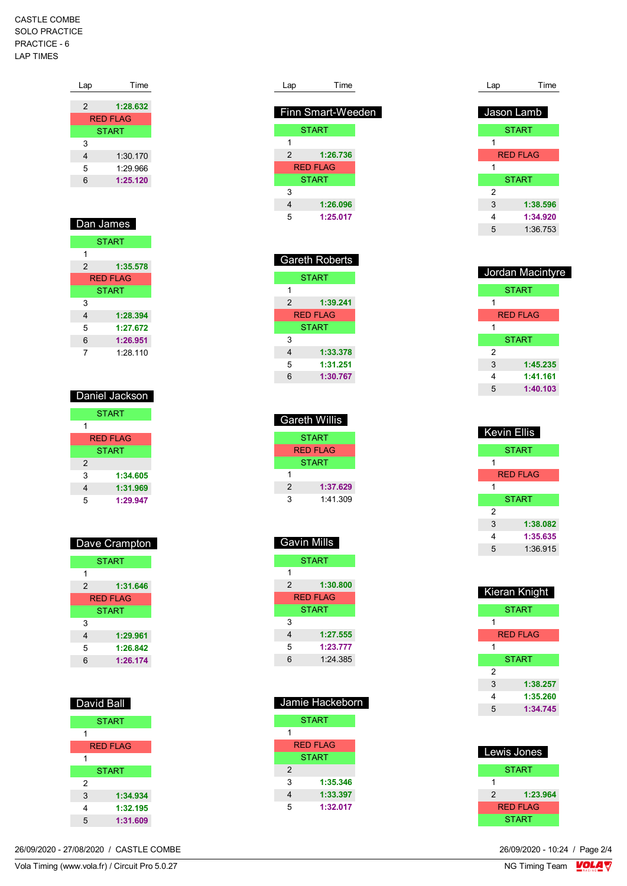CASTLE COMBE SOLO PRACTICE PRACTICE - 6 LAP TIMES

| Lap | Time            |
|-----|-----------------|
| 2   | 1:28.632        |
|     |                 |
|     | <b>RED FLAG</b> |
|     | <b>START</b>    |
| 3   |                 |
| 4   | 1:30.170        |
| 5   | 1:29.966        |
| 6   | 1:25.120        |
|     |                 |

| Dan James       |              |  |
|-----------------|--------------|--|
| <b>START</b>    |              |  |
| 1               |              |  |
| 2               | 1:35.578     |  |
| <b>RED FLAG</b> |              |  |
|                 | <b>START</b> |  |
| 3               |              |  |
| 4               | 1:28.394     |  |
| 5               | 1:27.672     |  |
| 6               | 1:26.951     |  |
| 7               | 1:28.110     |  |

| Daniel Jackson |  |  |
|----------------|--|--|
| <b>START</b>   |  |  |
| 1              |  |  |
| RFD FI AG      |  |  |
| <b>START</b>   |  |  |
| 2              |  |  |
| 3<br>1:34.605  |  |  |
| 1:31.969<br>4  |  |  |
| 1:29.947<br>5  |  |  |

| Dave Crampton |              |  |  |
|---------------|--------------|--|--|
|               | <b>START</b> |  |  |
| 1             |              |  |  |
| 2             | 1:31.646     |  |  |
|               | RFD FI AG    |  |  |
|               | <b>START</b> |  |  |
| 3             |              |  |  |
| 4             | 1:29.961     |  |  |
| 5             | 1:26.842     |  |  |
| 6             | 1:26.174     |  |  |

| <b>David Ball</b> |  |  |  |
|-------------------|--|--|--|
| <b>START</b>      |  |  |  |
| 1                 |  |  |  |
| RFD FI AG         |  |  |  |
| 1                 |  |  |  |
| <b>START</b>      |  |  |  |
| 2                 |  |  |  |
| 3<br>1:34.934     |  |  |  |
| 1:32.195<br>4     |  |  |  |
| 5<br>1:31.609     |  |  |  |

26/09/2020 - 27/08/2020 / CASTLE COMBE

| Lap | Time              |
|-----|-------------------|
|     |                   |
|     | Finn Smart-Weeden |
|     | <b>START</b>      |
| 1   |                   |
| 2   | 1:26.736          |
|     | RFD FI AG         |
|     | <b>START</b>      |
| 3   |                   |
| 4   | 1:26.096          |
| 5   | 1:25.017          |
|     |                   |
|     |                   |

| <b>Gareth Roberts</b> |          |  |
|-----------------------|----------|--|
| <b>START</b>          |          |  |
| 1                     |          |  |
| 2                     | 1:39.241 |  |
| <b>RED FLAG</b>       |          |  |
| <b>START</b>          |          |  |
| 3                     |          |  |
| 4                     | 1:33.378 |  |
| 5                     | 1:31.251 |  |
| հ                     | 1:30.767 |  |

| Gareth Willis   |          |  |
|-----------------|----------|--|
| <b>START</b>    |          |  |
| <b>RED FLAG</b> |          |  |
| <b>START</b>    |          |  |
| 1               |          |  |
| 2               | 1:37.629 |  |
| 3               | 1.41.309 |  |

| <b>Gavin Mills</b> |          |  |
|--------------------|----------|--|
| <b>START</b>       |          |  |
| 1                  |          |  |
| 2                  | 1:30.800 |  |
| <b>RED FLAG</b>    |          |  |
| <b>START</b>       |          |  |
| 3                  |          |  |
| 4                  | 1:27.555 |  |
| 5                  | 1:23.777 |  |
| հ                  | 1.24.385 |  |

| Jamie Hackeborn |              |  |  |
|-----------------|--------------|--|--|
| <b>START</b>    |              |  |  |
|                 |              |  |  |
| RFD FI AG       |              |  |  |
|                 | <b>START</b> |  |  |
| 2               |              |  |  |
| 3               | 1:35.346     |  |  |
| 4               | 1:33.397     |  |  |
| 5               | 1:32.017     |  |  |

| Lap        | Time            |
|------------|-----------------|
| Jason Lamb |                 |
|            | <b>START</b>    |
| 1          |                 |
|            | <b>RED FLAG</b> |
| 1          |                 |
|            | <b>START</b>    |
| 2          |                 |
| 3          | 1:38.596        |
| 4          | 1:34.920        |
| 5          | 1:36.753        |

| Jordan Macintyre |              |  |
|------------------|--------------|--|
|                  | <b>START</b> |  |
| 1                |              |  |
|                  | RFD FLAG     |  |
| 1                |              |  |
|                  | <b>START</b> |  |
| 2                |              |  |
| 3                | 1:45.235     |  |
| 4                | 1:41.161     |  |
| 5                | 1:40.103     |  |

| Kevin Ellis  |                 |
|--------------|-----------------|
|              | <b>START</b>    |
| 1            |                 |
|              | <b>RED FLAG</b> |
| 1            |                 |
| <b>START</b> |                 |
| 2            |                 |
| 3            | 1:38.082        |
| 4            | 1:35.635        |
| 5            | 1.36915         |

| Kieran Knight |                 |  |
|---------------|-----------------|--|
|               | <b>START</b>    |  |
| 1             |                 |  |
|               | <b>RED FLAG</b> |  |
| 1             |                 |  |
|               | <b>START</b>    |  |
| 2             |                 |  |
| 3             | 1:38.257        |  |
| 4             | 1:35.260        |  |
| 5             | 1:34.745        |  |

| Lewis Jones     |              |
|-----------------|--------------|
|                 | <b>START</b> |
| 1               |              |
| 2               | 1:23.964     |
| <b>RED FLAG</b> |              |
|                 | START        |

 $\frac{26}{09}{2020} - 10.24$  / Page 2/4<br>NG Timing Team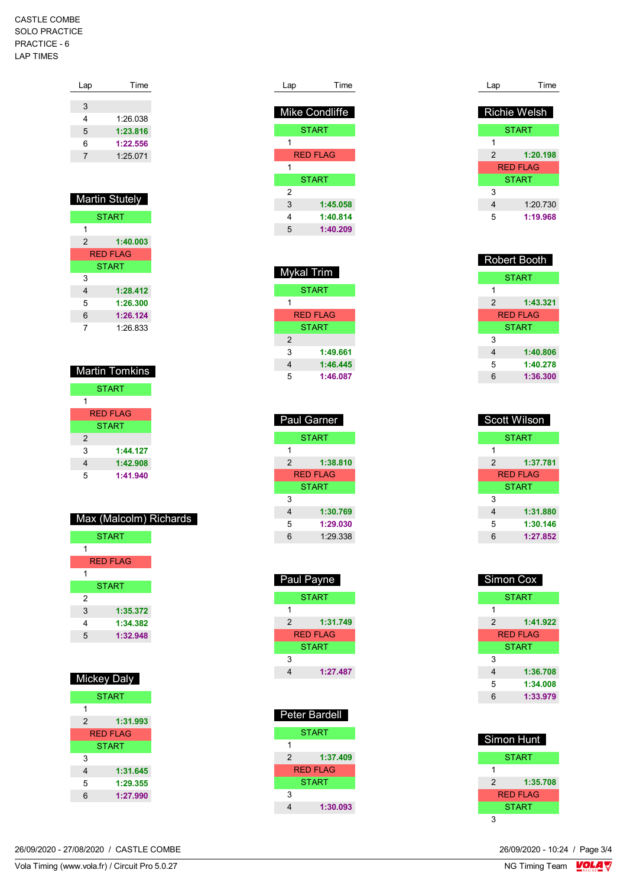## CASTLE COMBE SOLO PRACTICE PRACTICE - 6 LAP TIMES

| Lap | Time     |
|-----|----------|
|     |          |
| 3   |          |
| 4   | 1:26.038 |
| 5   | 1:23.816 |
| 6   | 1:22.556 |
| 7   | 1:25.071 |
|     |          |
|     |          |

| <b>Martin Stutely</b> |              |
|-----------------------|--------------|
|                       | <b>START</b> |
| 1                     |              |
| 2                     | 1:40.003     |
| <b>RFD FI AG</b>      |              |
| <b>START</b>          |              |
| 3                     |              |
| 4                     | 1:28.412     |
| 5                     | 1:26.300     |
| 6                     | 1:26.124     |
| 7                     | 1.26 833     |

| <b>Martin Tomkins</b> |
|-----------------------|
| <b>START</b>          |
| 1                     |
| <b>RED FLAG</b>       |
| <b>START</b>          |
| 2                     |
| 3<br>1:44.127         |
| 1:42.908<br>4         |
| 5<br>1:41.940         |

|  | Max (Malcolm) Richards |
|--|------------------------|
|  |                        |

|   | <b>START</b>    |
|---|-----------------|
| 1 |                 |
|   | <b>RED FLAG</b> |
| 1 |                 |
|   | <b>START</b>    |
| 2 |                 |
| 3 | 1:35.372        |
| 4 | 1:34.382        |
| 5 | 1:32.948        |

| Mickey Daly |                  |
|-------------|------------------|
|             | <b>START</b>     |
| 1           |                  |
| 2           | 1:31.993         |
|             | <b>RFD FI AG</b> |
|             | <b>START</b>     |
| 3           |                  |
| 4           | 1:31.645         |
| 5           | 1:29.355         |
| 6           | 1:27.990         |
|             |                  |

| Lap | Time           |
|-----|----------------|
|     | Mike Condliffe |
|     | <b>START</b>   |
| 1   |                |
|     | RFD FI AG      |
| 1   |                |
|     | <b>START</b>   |
| 2   |                |
| 3   | 1:45.058       |
| 4   | 1:40.814       |
| 5   | 1:40.209       |

| Mykal Trim |                 |
|------------|-----------------|
|            | <b>START</b>    |
| 1          |                 |
|            | <b>RED FLAG</b> |
|            | <b>START</b>    |
| 2          |                 |
| 3          | 1:49.661        |
| 4          | 1:46.445        |
| 5          | 1:46.087        |

| <b>Paul Garner</b> |
|--------------------|
| <b>START</b>       |
|                    |
| 1:38.810           |
| RFD FI AG          |
| <b>START</b>       |
|                    |
| 1:30.769           |
| 1:29.030           |
| 1.29.338           |
|                    |

| <b>Paul Payne</b> |                 |
|-------------------|-----------------|
|                   | <b>START</b>    |
| 1                 |                 |
| 2                 | 1:31.749        |
|                   | <b>RED FLAG</b> |
|                   | <b>START</b>    |
| 3                 |                 |
| 4                 | 1:27.487        |
|                   |                 |

|   | Peter Bardell   |
|---|-----------------|
|   | START           |
| 1 |                 |
| 2 | 1:37.409        |
|   | <b>RED FLAG</b> |
|   | START           |
| 3 |                 |
|   | 1:30.093        |

| Lap | Time                |
|-----|---------------------|
|     | <b>Richie Welsh</b> |
|     | <b>START</b>        |
| 1   |                     |
| 2   | 1:20.198            |
|     | <b>RED FLAG</b>     |
|     | <b>START</b>        |
| 3   |                     |
| 4   | 1:20.730            |
| 5   | 1:19.968            |

| <b>Robert Booth</b> |          |
|---------------------|----------|
| <b>START</b>        |          |
| 1                   |          |
| $\mathfrak{p}$      | 1:43.321 |
|                     | RFD FLAG |
| <b>START</b>        |          |
| 3                   |          |
| 4                   | 1:40.806 |
| 5                   | 1:40.278 |
| 6                   | 1:36.300 |

| Scott Wilson |              |
|--------------|--------------|
| <b>START</b> |              |
| 1            |              |
| 2            | 1:37.781     |
|              | RFD FI AG    |
|              | <b>START</b> |
| 3            |              |
| 4            | 1:31.880     |
| 5            | 1:30.146     |
| 6            | 1:27.852     |

| Simon Cox |              |
|-----------|--------------|
|           | <b>START</b> |
| 1         |              |
| 2         | 1:41.922     |
|           | RED FLAG     |
|           | <b>START</b> |
| 3         |              |
| 4         | 1:36.708     |
| 5         | 1:34.008     |
| 6         | 1:33.979     |
|           |              |

| Simon Hunt |              |
|------------|--------------|
|            | START        |
| 1          |              |
| 2          | 1:35.708     |
|            | RFD FI AG    |
|            | <b>START</b> |
|            |              |

 $\frac{26}{09}{2020} - 10.24$  / Page 3/4<br>NG Timing Team

Vola Timing (www.vola.fr) / Circuit Pro 5.0.27 26/09/2020 - 27/08/2020 / CASTLE COMBE